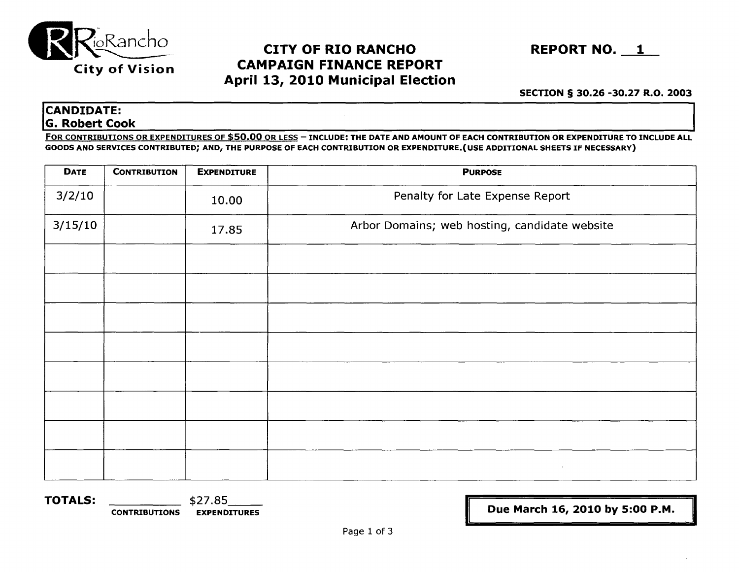

## CAMPAIGN FINANCE REPORT April 13, 2010 Municipal Election



# SECTION § 30.26 -30.27 R.O. 2003<br>CANDIDATE: G. Robert Cook

FOR CONTRIBUTIONS OR EXPENDITURES OF \$50.00 OR LESS - INCLUDE: THE DATE AND AMOUNT OF EACH CONTRIBUTION OR EXPENDITURE TO INCLUDE ALL GOODS AND SERVICES CONTRIBUTED; AND, THE PURPOSE OF EACH CONTRIBUTION OR EXPENDITURE.(USE ADDITIONAL SHEETS IF NECESSARY)

| <b>DATE</b> | <b>CONTRIBUTION</b> | <b>EXPENDITURE</b> | <b>PURPOSE</b>                                |  |  |
|-------------|---------------------|--------------------|-----------------------------------------------|--|--|
| 3/2/10      |                     | 10.00              | Penalty for Late Expense Report               |  |  |
| 3/15/10     |                     | 17.85              | Arbor Domains; web hosting, candidate website |  |  |
|             |                     |                    |                                               |  |  |
|             |                     |                    |                                               |  |  |
|             |                     |                    |                                               |  |  |
|             |                     |                    |                                               |  |  |
|             |                     |                    |                                               |  |  |
|             |                     |                    |                                               |  |  |
|             |                     |                    |                                               |  |  |
|             |                     |                    | $\sim$                                        |  |  |

TOTALS: \$27.85\_\_ CONTRIBUTIONS EXPENDITURES [ Due March 16, 2010 by 5:00 P.M. - -II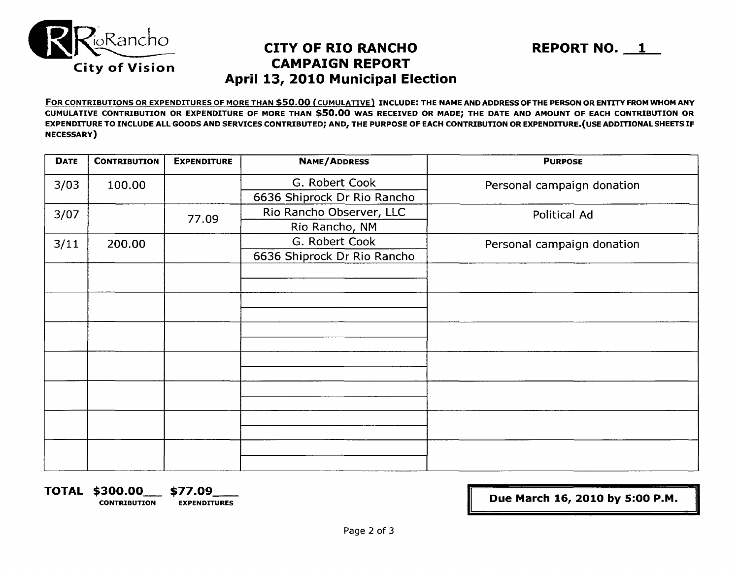

## **A pril 13, 2010 Municipal Election CAMPAIGN REPORT**



FOR CONTRIBUTIONS OR EXPENDITURES OF MORE THAN \$50.00 (CUMULATIVE) INCLUDE: THE NAME AND ADDRESS OFTHE PERSON OR ENTITY FROM WHOM ANY CUMULATIVE CONTRIBUTION OR EXPENDITURE OF MORE THAN \$50.00 WAS RECEIVED OR MADE; THE DATE AND AMOUNT OF EACH CONTRIBUTION OR EXPENDITURE TO INCLUDE ALL GOODS AND SERVICES CONTRIBUTED; AND, THE PURPOSE OF EACH CONTRIBUTION OR EXPENDITURE.(USE ADDITIONAL SHEETS IF NECESSARY)

| <b>DATE</b> | <b>CONTRIBUTION</b> | <b>EXPENDITURE</b> | <b>NAME/ADDRESS</b>         | <b>PURPOSE</b>             |  |  |  |
|-------------|---------------------|--------------------|-----------------------------|----------------------------|--|--|--|
| 3/03        | 100.00              |                    | G. Robert Cook              | Personal campaign donation |  |  |  |
|             |                     |                    | 6636 Shiprock Dr Rio Rancho |                            |  |  |  |
| 3/07        |                     | 77.09              | Rio Rancho Observer, LLC    | Political Ad               |  |  |  |
|             |                     |                    | Rio Rancho, NM              |                            |  |  |  |
| 3/11        | 200.00              |                    | G. Robert Cook              | Personal campaign donation |  |  |  |
|             |                     |                    | 6636 Shiprock Dr Rio Rancho |                            |  |  |  |
|             |                     |                    |                             |                            |  |  |  |
|             |                     |                    |                             |                            |  |  |  |
|             |                     |                    |                             |                            |  |  |  |
|             |                     |                    |                             |                            |  |  |  |
|             |                     |                    |                             |                            |  |  |  |
|             |                     |                    |                             |                            |  |  |  |
|             |                     |                    |                             |                            |  |  |  |
|             |                     |                    |                             |                            |  |  |  |
|             |                     |                    |                             |                            |  |  |  |
|             |                     |                    |                             |                            |  |  |  |
|             |                     |                    |                             |                            |  |  |  |
|             |                     |                    |                             |                            |  |  |  |
|             |                     |                    |                             |                            |  |  |  |
|             |                     |                    |                             |                            |  |  |  |

**TOTAL \$300.00\_** \$77.09\_\_ CONTRIBUTION EXPENDITURES II **Due March 16, 2010 by 5:00 P.M.** 

II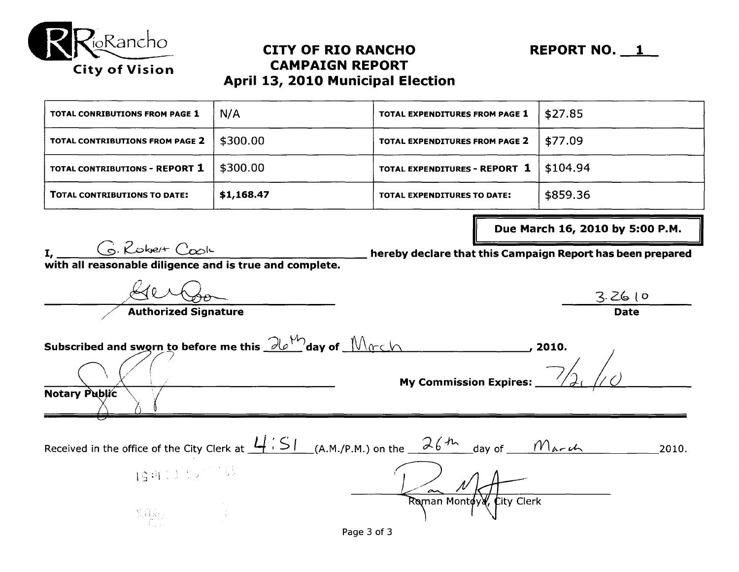

## City of Vision **CAMPAIGN REPORT April 13, 2010 Municipal Election**

| TOTAL CONTRIBUTIONS TO DATE:    | \$1,168.47 | <b>TOTAL EXPENDITURES TO DATE:</b> | \$859.36 |
|---------------------------------|------------|------------------------------------|----------|
| TOTAL CONTRIBUTIONS - REPORT 1  | \$300.00   | TOTAL EXPENDITURES - REPORT 1      | \$104.94 |
| TOTAL CONTRIBUTIONS FROM PAGE 2 | \$300.00   | TOTAL EXPENDITURES FROM PAGE 2     | \$77.09  |
| TOTAL CONRIBUTIONS FROM PAGE 1  | N/A        | TOTAL EXPENDITURES FROM PAGE 1     | \$27.85  |

 $I,$   $G.$  Robert Cook

Due March 16, 2010 by 5:00 P.M.

 $3.26$  lo **Date** 

hereby declare that this Campaign Report has been prepared

with all reasonable diligence and is true and complete.

**Authorized Signature** 

Subscribed and sworn to before me this  $\partial b^{\mathcal{W}}$ day of  $\mathcal{M}_{0}$ c h ,  $\mathcal{M}_{0}$  , 2010. **My Commission Expires: Notary Public** 

L/ ~ /f/ *j.*   $\pi$ Raman Montoya,  $f$ ity Clerk Received in the office of the City Clerk at  $\frac{L(S)}{S}$  (A.M./P.M.) on the  $\frac{26\,h}{}$  day of  $\frac{M_{\alpha\tau}\mu}{\mu}$  2010. 1941.J 95770  $\mathfrak{g}_\mathfrak{m}$